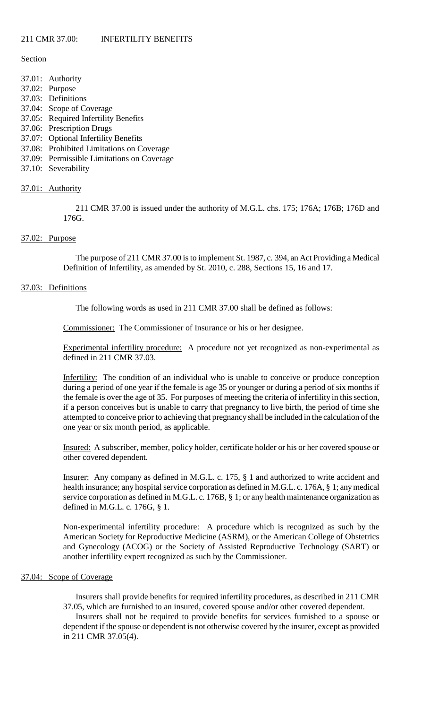## Section

- 37.01: Authority
- 37.02: Purpose
- 37.03: Definitions
- 37.04: Scope of Coverage
- 37.05: Required Infertility Benefits
- 37.06: Prescription Drugs
- 37.07: Optional Infertility Benefits
- 37.08: Prohibited Limitations on Coverage
- 37.09: Permissible Limitations on Coverage
- 37.10: Severability

# 37.01: Authority

211 CMR 37.00 is issued under the authority of M.G.L. chs. 175; 176A; 176B; 176D and 176G.

# 37.02: Purpose

The purpose of 211 CMR 37.00 is to implement St. 1987, c. 394, an Act Providing a Medical Definition of Infertility, as amended by St. 2010, c. 288, Sections 15, 16 and 17.

# 37.03: Definitions

The following words as used in 211 CMR 37.00 shall be defined as follows:

Commissioner: The Commissioner of Insurance or his or her designee.

Experimental infertility procedure: A procedure not yet recognized as non-experimental as defined in 211 CMR 37.03.

Infertility: The condition of an individual who is unable to conceive or produce conception during a period of one year if the female is age 35 or younger or during a period of six months if the female is over the age of 35. For purposes of meeting the criteria of infertility in this section, if a person conceives but is unable to carry that pregnancy to live birth, the period of time she attempted to conceive prior to achieving that pregnancy shall be included in the calculation of the one year or six month period, as applicable.

Insured: A subscriber, member, policy holder, certificate holder or his or her covered spouse or other covered dependent.

Insurer: Any company as defined in M.G.L. c. 175, § 1 and authorized to write accident and health insurance; any hospital service corporation as defined in M.G.L. c. 176A, § 1; any medical service corporation as defined in M.G.L. c. 176B, § 1; or any health maintenance organization as defined in M.G.L. c. 176G, § 1.

Non-experimental infertility procedure: A procedure which is recognized as such by the American Society for Reproductive Medicine (ASRM), or the American College of Obstetrics and Gynecology (ACOG) or the Society of Assisted Reproductive Technology (SART) or another infertility expert recognized as such by the Commissioner.

#### 37.04: Scope of Coverage

Insurers shall provide benefits for required infertility procedures, as described in 211 CMR 37.05, which are furnished to an insured, covered spouse and/or other covered dependent.

Insurers shall not be required to provide benefits for services furnished to a spouse or dependent if the spouse or dependent is not otherwise covered by the insurer, except as provided in 211 CMR 37.05(4).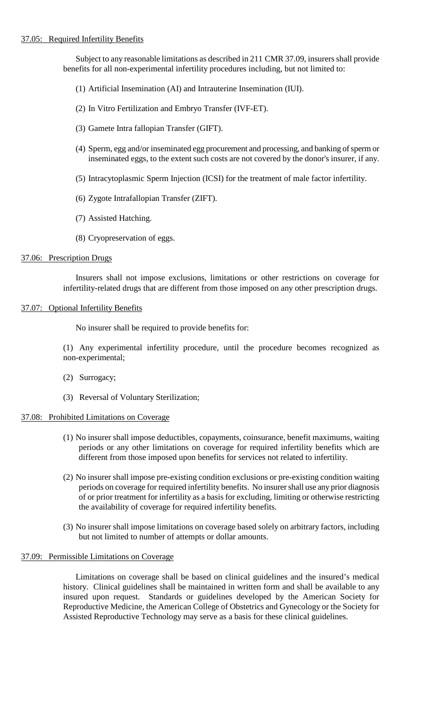Subject to any reasonable limitations as described in 211 CMR 37.09, insurers shall provide benefits for all non-experimental infertility procedures including, but not limited to:

- (1) Artificial Insemination (AI) and Intrauterine Insemination (IUI).
- (2) In Vitro Fertilization and Embryo Transfer (IVF-ET).
- (3) Gamete Intra fallopian Transfer (GIFT).
- (4) Sperm, egg and/or inseminated egg procurement and processing, and banking of sperm or inseminated eggs, to the extent such costs are not covered by the donor's insurer, if any.
- (5) Intracytoplasmic Sperm Injection (ICSI) for the treatment of male factor infertility.
- (6) Zygote Intrafallopian Transfer (ZIFT).
- (7) Assisted Hatching.
- (8) Cryopreservation of eggs.

#### 37.06: Prescription Drugs

Insurers shall not impose exclusions, limitations or other restrictions on coverage for infertility-related drugs that are different from those imposed on any other prescription drugs.

# 37.07: Optional Infertility Benefits

No insurer shall be required to provide benefits for:

(1) Any experimental infertility procedure, until the procedure becomes recognized as non-experimental;

- (2) Surrogacy;
- (3) Reversal of Voluntary Sterilization;

#### 37.08: Prohibited Limitations on Coverage

- (1) No insurer shall impose deductibles, copayments, coinsurance, benefit maximums, waiting periods or any other limitations on coverage for required infertility benefits which are different from those imposed upon benefits for services not related to infertility.
- (2) No insurer shall impose pre-existing condition exclusions or pre-existing condition waiting periods on coverage for required infertility benefits. No insurer shall use any prior diagnosis of or prior treatment for infertility as a basis for excluding, limiting or otherwise restricting the availability of coverage for required infertility benefits.
- (3) No insurer shall impose limitations on coverage based solely on arbitrary factors, including but not limited to number of attempts or dollar amounts.

#### 37.09: Permissible Limitations on Coverage

Limitations on coverage shall be based on clinical guidelines and the insured's medical history. Clinical guidelines shall be maintained in written form and shall be available to any insured upon request. Standards or guidelines developed by the American Society for Reproductive Medicine, the American College of Obstetrics and Gynecology or the Society for Assisted Reproductive Technology may serve as a basis for these clinical guidelines.